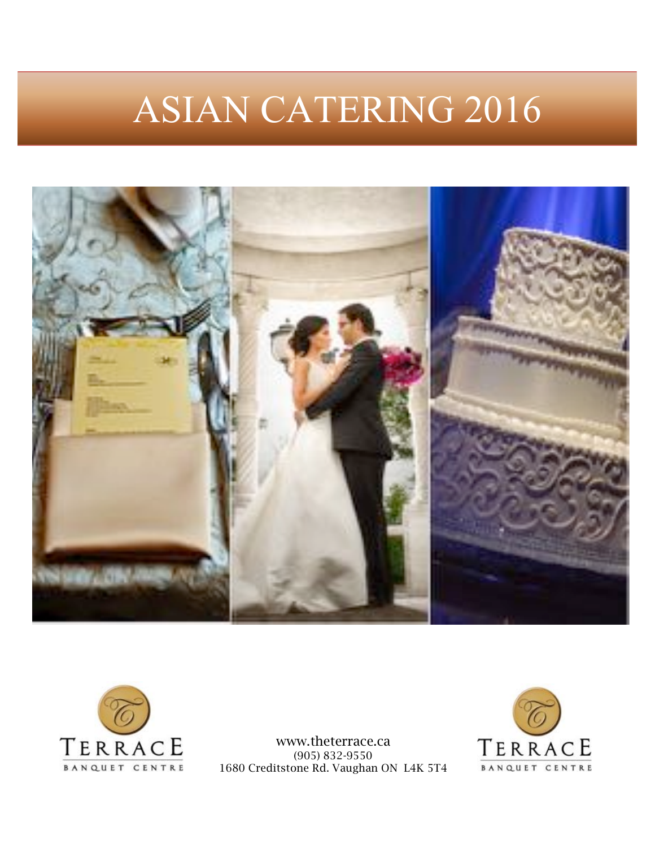# ASIAN CATERING 2016





www.theterrace.ca (905) 832-9550 1680 Creditstone Rd. Vaughan ON L4K 5T4

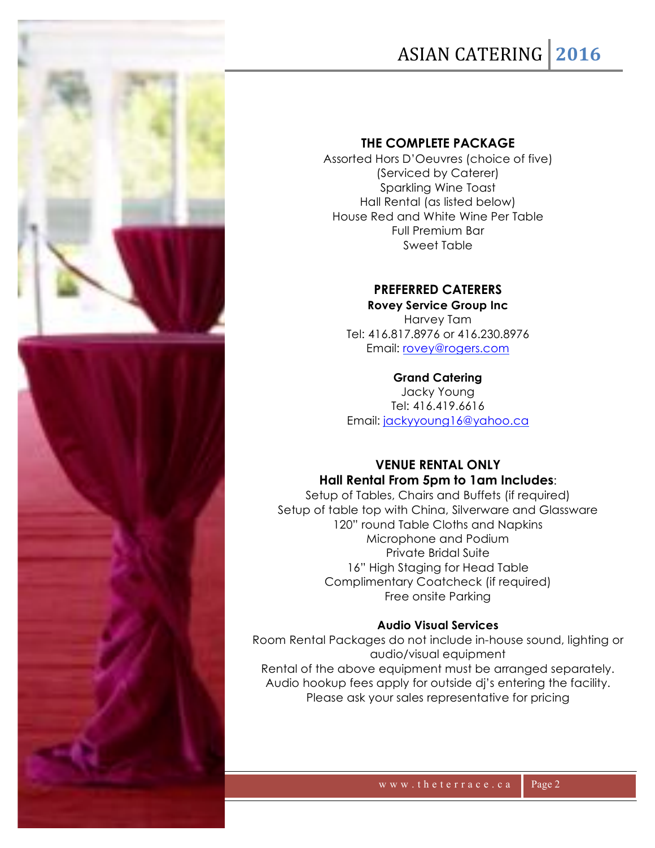### ASIAN%CATERING **2016**

#### **THE COMPLETE PACKAGE**

Assorted Hors D'Oeuvres (choice of five) (Serviced by Caterer) Sparkling Wine Toast Hall Rental (as listed below) House Red and White Wine Per Table Full Premium Bar Sweet Table

#### **PREFERRED CATERERS**

**Rovey Service Group Inc** Harvey Tam Tel: 416.817.8976 or 416.230.8976 Email: rovey@rogers.com

#### **Grand Catering**

Jacky Young Tel: 416.419.6616 Email: jackyyoung16@yahoo.ca

#### **VENUE RENTAL ONLY Hall Rental From 5pm to 1am Includes**:

Setup of Tables, Chairs and Buffets (if required) Setup of table top with China, Silverware and Glassware 120" round Table Cloths and Napkins Microphone and Podium Private Bridal Suite 16" High Staging for Head Table Complimentary Coatcheck (if required) Free onsite Parking

#### **Audio Visual Services**

Room Rental Packages do not include in-house sound, lighting or audio/visual equipment Rental of the above equipment must be arranged separately. Audio hookup fees apply for outside dj's entering the facility. Please ask your sales representative for pricing

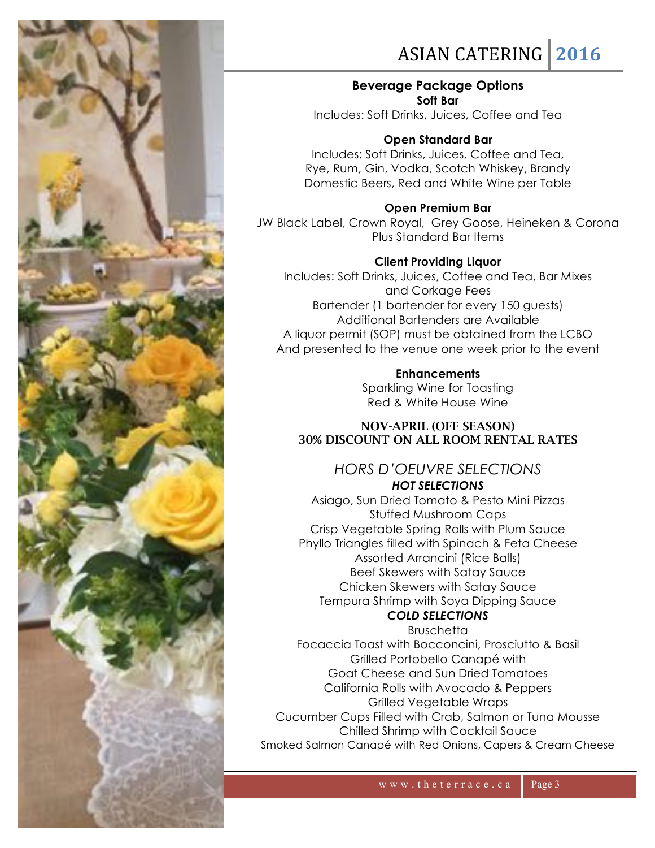

### ASIAN%CATERING **2016**

#### **Beverage Package Options Soft Bar**

Includes: Soft Drinks, Juices, Coffee and Tea

#### **Open Standard Bar**

Includes: Soft Drinks, Juices, Coffee and Tea, Rye, Rum, Gin, Vodka, Scotch Whiskey, Brandy Domestic Beers, Red and White Wine per Table

**Open Premium Bar** JW Black Label, Crown Royal, Grey Goose, Heineken & Corona Plus Standard Bar Items

#### **Client Providing Liquor**

Includes: Soft Drinks, Juices, Coffee and Tea, Bar Mixes and Corkage Fees Bartender (1 bartender for every 150 guests) Additional Bartenders are Available A liquor permit (SOP) must be obtained from the LCBO And presented to the venue one week prior to the event

> **Enhancements** Sparkling Wine for Toasting Red & White House Wine

#### NOV-APRIL (OFF SEASON) 30% DISCOUNT ON ALL ROOM RENTAL RATES

#### *HORS D'OEUVRE SELECTIONS HOT SELECTIONS*

Asiago, Sun Dried Tomato & Pesto Mini Pizzas Stuffed Mushroom Caps Crisp Vegetable Spring Rolls with Plum Sauce Phyllo Triangles filled with Spinach & Feta Cheese Assorted Arrancini (Rice Balls) Beef Skewers with Satay Sauce Chicken Skewers with Satay Sauce Tempura Shrimp with Soya Dipping Sauce

#### *COLD SELECTIONS* **Bruschetta**

Focaccia Toast with Bocconcini, Prosciutto & Basil Grilled Portobello Canapé with Goat Cheese and Sun Dried Tomatoes California Rolls with Avocado & Peppers Grilled Vegetable Wraps Cucumber Cups Filled with Crab, Salmon or Tuna Mousse Chilled Shrimp with Cocktail Sauce Smoked Salmon Canapé with Red Onions, Capers & Cream Cheese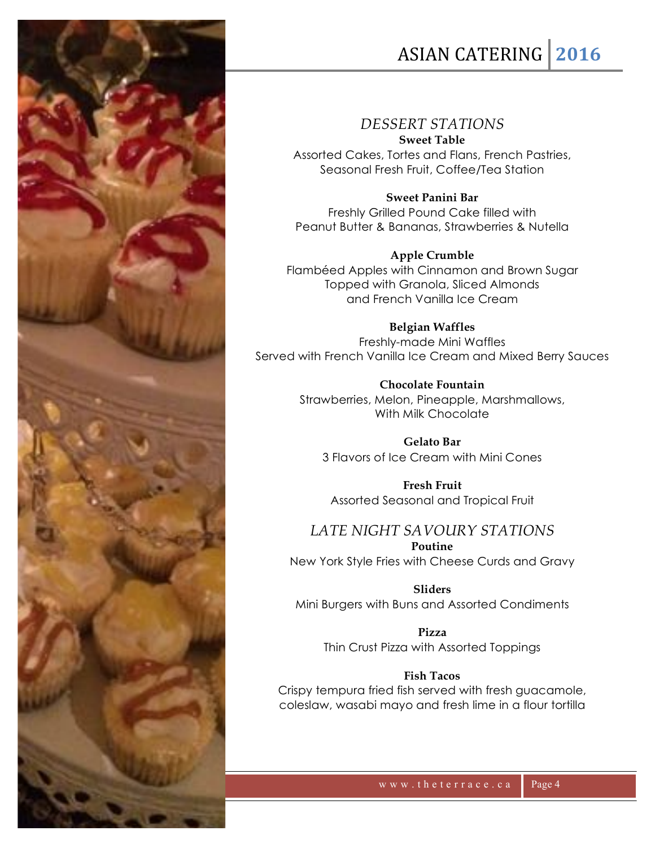

### ASIAN%CATERING **2016**

#### *DESSERT STATIONS*

**Sweet Table** Assorted Cakes, Tortes and Flans, French Pastries,

Seasonal Fresh Fruit, Coffee/Tea Station

**Sweet Panini Bar** Freshly Grilled Pound Cake filled with Peanut Butter & Bananas, Strawberries & Nutella

**Apple Crumble** Flambéed Apples with Cinnamon and Brown Sugar Topped with Granola, Sliced Almonds and French Vanilla Ice Cream

**Belgian Waffles** Freshly-made Mini Waffles Served with French Vanilla Ice Cream and Mixed Berry Sauces

> **Chocolate Fountain** Strawberries, Melon, Pineapple, Marshmallows, With Milk Chocolate

**Gelato Bar** 3 Flavors of Ice Cream with Mini Cones

**Fresh Fruit**  Assorted Seasonal and Tropical Fruit

*LATE NIGHT SAVOURY STATIONS* **Poutine**

New York Style Fries with Cheese Curds and Gravy

**Sliders**

Mini Burgers with Buns and Assorted Condiments

**Pizza** Thin Crust Pizza with Assorted Toppings

#### **Fish Tacos**

Crispy tempura fried fish served with fresh guacamole, coleslaw, wasabi mayo and fresh lime in a flour tortilla